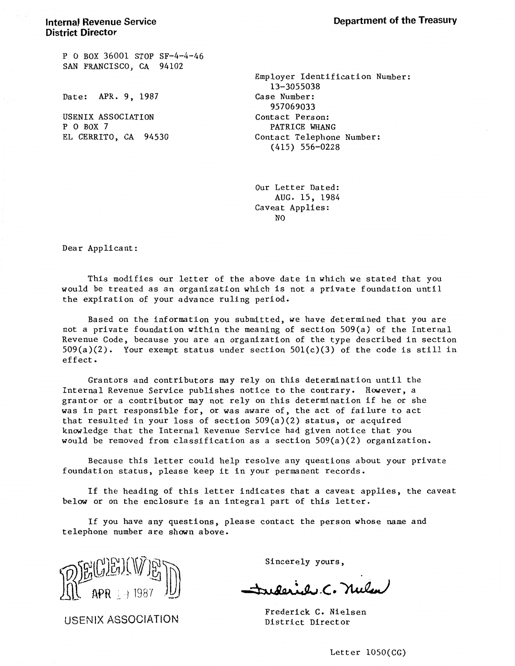## **Internal Revenue Service District Director**

P 0 BOX 36001 STOP SF-4-4-46 SAN FRANCISCO, CA 94102

Date: APR. 9, 1987

USENIX ASSOCIATION  $P$  O ROX 7 EL CERRITO, CA 94530

Employer Identification Number: 13-3055038 Case Number: 957069033 Contact Person: PATRICE WHANG Contact Telephone Number:  $(415)$  556-0228

Our Letter Dated: AUG. 15, 1984 Caveat Applies: N<sub>O</sub>

Dear Applicant:

This modifies our letter of the above date in which we stated that you would be treated as an organization which is not a private foundation until the expiration of your advance ruling period.

Based on the information you submitted, we have determined that you are not a private foundation within the meaning of section 509(a) of the Internal Revenue Code, because you are an organization of the type described in section  $509(a)(2)$ . Your exempt status under section  $501(c)(3)$  of the code is still in effect.

Grantors and contributors may rely on this determination until the Internal Revenue Service publishes notice to the contrary. However, a grantor or a contributor may not rely on this determination if he or she was in part responsible for, or was aware of, the act of failure to act that resulted in your loss of section  $509(a)(2)$  status, or acquired knowledge that the Internal Revenue Service had given notice that you would be removed from classification as a section  $509(a)(2)$  organization.

Because this letter could help resolve any questions about your private foundation status, please keep it in your permanent records.

If the heading of this letter indicates that a caveat applies, the caveat below or on the enclosure is an integral part of this letter.

If you have any questions, please contact the person whose name and telephone number are shown above.

USENIX ASSOCIATION

Sincerely yours,

a. C. nulsu

Frederick C. Nielsen District Director

Letter  $1050$ (CG)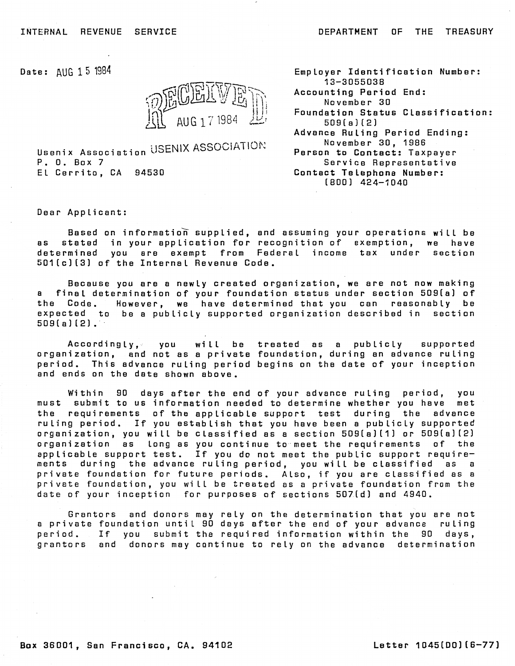**DEPARTMENT** OF THE TREASURY

Date: AllG 15 1984



Usenix Association USENIX ASSOCIATION P. O. Box 7 El Cerrito. CA 94530

| Employer Identification Number: |  |
|---------------------------------|--|
| 13-3055038                      |  |
| Accounting Period End:          |  |

November 30

Foundation Status Classification:  $509(a)(2)$ 

Advance Ruling Period Ending: November 30, 1986 Person to Contact: Taxpayer

Service Representative Contact Talephone Number:

[800] 424-1040

Dear Applicant:

Based on information supplied, and assuming your operations will be stated in your application for recognition of exemption, we have a s determined you are exempt from Federal income tax under section 501(c)(3) of the Internal Revenue Code.

Because you are a newly created organization, we are not now making  $\mathbf{a}$ final determination of your foundation status under section 509(a) of the Code. However, we have determined that you can reasonably be expected to be a publicly supported organization described in section  $509(a)[2]$ 

Accordingly, you will be treated as a publicly supported organization, and not as a private foundation, during an advance ruling period. This advance ruling period begins on the date of your inception and ends on the date shown above.

90 days after the end of your advance ruling period, Within you must submit to us information needed to determine whether you have met requirements of the applicable support test the during the advance ruling period. If you establish that you have been a publicly supported organization, you will be classified as a section 509(a)(1) or 509(a)(2) organization as long as you continue to meet the requirements of the applicable support test. If you do not meet the public support requirements during the advance ruling period, you will be classified as a private foundation for future periods. Also, if you are classified as a private foundation, you will be treated as a private foundation from the date of your inception for purposes of sections 507(d) and 4940.

Grantors and donors may rely on the determination that you are not a private foundation until 90 days after the end of your advance ruling period. If you submit the required information within the 90 days, grantors and donors may continue to rely on the advance determination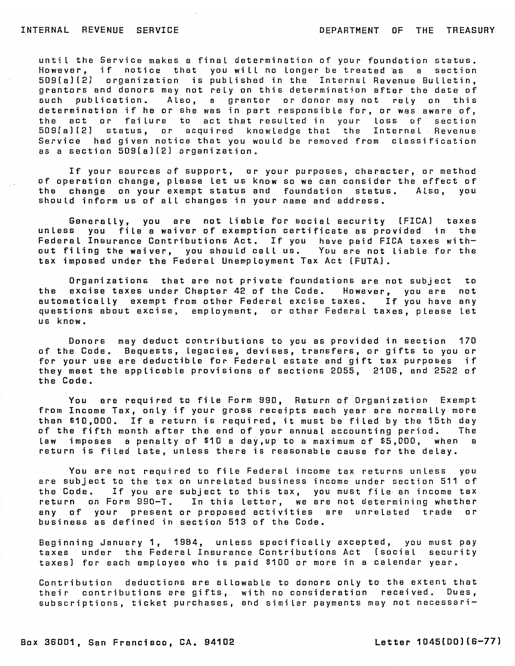until the Service makes a final determination of your foundation status. However, if notice that you will no longer be treated as a section 509(a)(2) organization is published in the Internal Revenue Bulletin, grantors and donors may not rely on this determination after the date of publication. Also, a grantor or donor may not rely on this  $s$ uch determination if he or she was in part responsible for, or was aware of, the act or failure to act that resulted in your loss of section 509(a)(2) status, or acquired knowledge that the Internal Revenue Service had given notice that you would be removed from classification as a section 509(a)(2) organization.

If your sources of support, or your purposes, character, or method of operation change, please let us know so we can consider the effect of the change on your exempt status and foundation status. Also, you should inform us of all changes in your name and address.

Generally, you are not liable for social security (FICA) taxes unless vou file a waiver of exemption certificate as provided in the Federal Insurance Contributions Act. If you have paid FICA taxes without filing the waiver, you should call us. You are not liable for the tax imposed under the Federal Unemployment Tax Act (FUTA).

Organizations that are not private foundations are not subject to the excise taxes under Chapter 42 of the Code. However, you are not automatically exempt from other Federal excise taxes. If you have any questions about excise, employment, or other Federal taxes, please let us know.

Donors may deduct contributions to you as provided in section 170 of the Code. Bequests, legacies, devises, transfers, or gifts to you or for your use are deductible for Federal estate and gift tax purposes if they meet the applicable provisions of sections 2055, 2106, and 2522 of the Code.

You are required to file Form 990, Return of Organization Exempt from Income Tax, only if your gross receipts each year are normally more than \$10,000. If a return is required, it must be filed by the 15th day of the fifth month after the end of your annual accounting period. The law imposes a penalty of \$10 a day, up to a maximum of \$5,000, when a return is filed late, unless there is reasonable cause for the delay.

You are not required to file Federal income tax returns unless you are subject to the tax on unrelated business income under section 511 of the Code. If you are subject to this tax, you must file an income tax<br>return on Form 990-T. In this letter, we are not determining whether any of your present or proposed activities are unrelated trade or business as defined in section 513 of the Code.

Beginning January 1. 1984, unless specifically excepted, you must pay taxes under the Federal Insurance Contributions Act (social security taxes) for each emplovee who is paid \$100 or more in a calendar year.

Contribution deductions are allowable to donors only to the extent that their contributions are gifts, with no consideration received. Dues, subscriptions, ticket purchases, and similar payments may not necessari